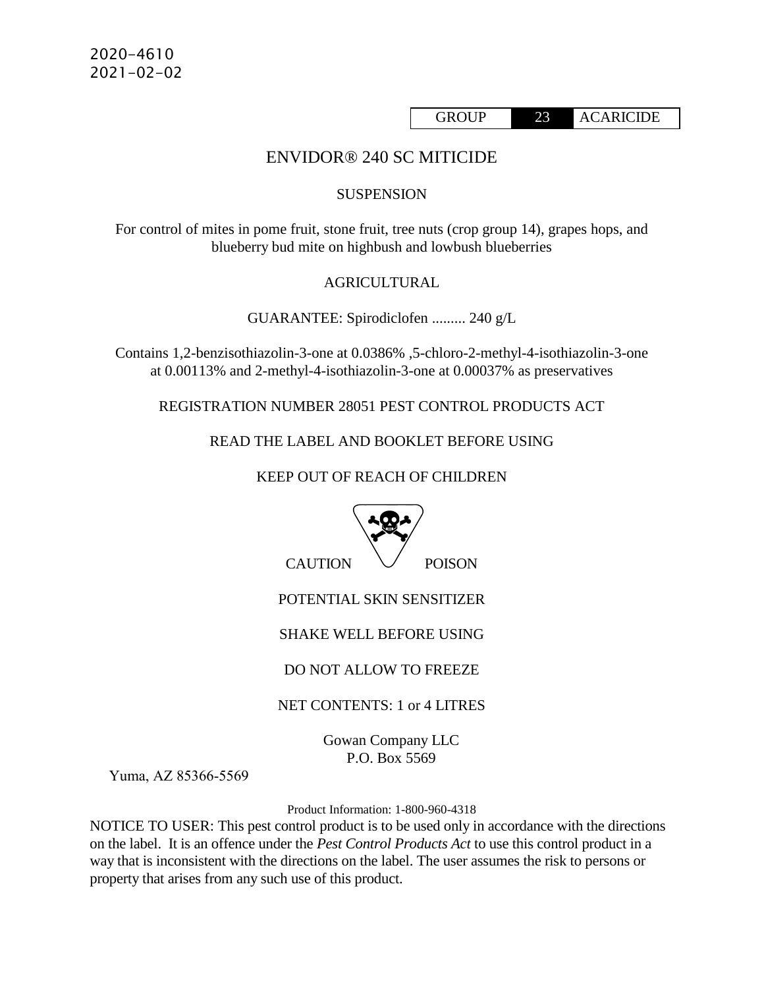GROUP 23 ACARICIDE

# ENVIDOR® 240 SC MITICIDE

#### **SUSPENSION**

For control of mites in pome fruit, stone fruit, tree nuts (crop group 14), grapes hops, and blueberry bud mite on highbush and lowbush blueberries

#### AGRICULTURAL

GUARANTEE: Spirodiclofen ......... 240 g/L

Contains 1,2-benzisothiazolin-3-one at 0.0386% ,5-chloro-2-methyl-4-isothiazolin-3-one at 0.00113% and 2-methyl-4-isothiazolin-3-one at 0.00037% as preservatives

REGISTRATION NUMBER 28051 PEST CONTROL PRODUCTS ACT

READ THE LABEL AND BOOKLET BEFORE USING

KEEP OUT OF REACH OF CHILDREN



Yuma, AZ 85366‐5569

Product Information: 1-800-960-4318

NOTICE TO USER: This pest control product is to be used only in accordance with the directions on the label. It is an offence under the *Pest Control Products Act* to use this control product in a way that is inconsistent with the directions on the label. The user assumes the risk to persons or property that arises from any such use of this product.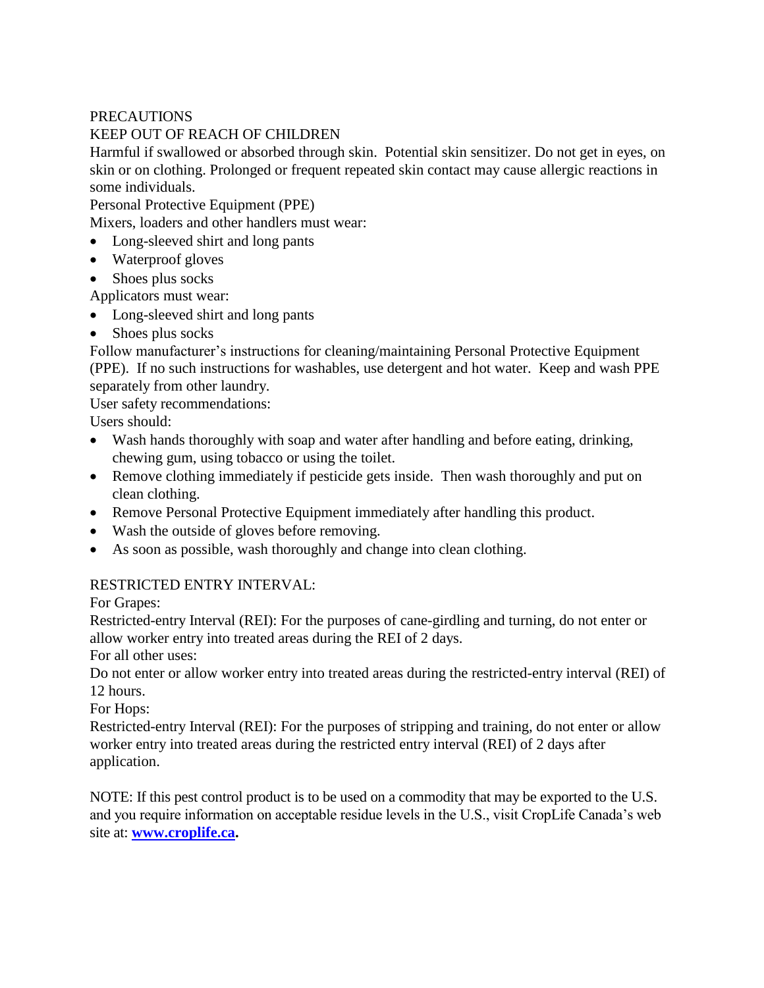# **PRECAUTIONS**

# KEEP OUT OF REACH OF CHILDREN

Harmful if swallowed or absorbed through skin. Potential skin sensitizer. Do not get in eyes, on skin or on clothing. Prolonged or frequent repeated skin contact may cause allergic reactions in some individuals.

Personal Protective Equipment (PPE)

Mixers, loaders and other handlers must wear:

- Long-sleeved shirt and long pants
- Waterproof gloves
- Shoes plus socks

Applicators must wear:

- Long-sleeved shirt and long pants
- Shoes plus socks

Follow manufacturer's instructions for cleaning/maintaining Personal Protective Equipment (PPE). If no such instructions for washables, use detergent and hot water. Keep and wash PPE separately from other laundry.

User safety recommendations:

Users should:

- Wash hands thoroughly with soap and water after handling and before eating, drinking, chewing gum, using tobacco or using the toilet.
- Remove clothing immediately if pesticide gets inside. Then wash thoroughly and put on clean clothing.
- Remove Personal Protective Equipment immediately after handling this product.
- Wash the outside of gloves before removing.
- As soon as possible, wash thoroughly and change into clean clothing.

## RESTRICTED ENTRY INTERVAL:

For Grapes:

Restricted-entry Interval (REI): For the purposes of cane-girdling and turning, do not enter or allow worker entry into treated areas during the REI of 2 days.

For all other uses:

Do not enter or allow worker entry into treated areas during the restricted-entry interval (REI) of 12 hours.

For Hops:

Restricted-entry Interval (REI): For the purposes of stripping and training, do not enter or allow worker entry into treated areas during the restricted entry interval (REI) of 2 days after application.

NOTE: If this pest control product is to be used on a commodity that may be exported to the U.S. and you require information on acceptable residue levels in the U.S., visit CropLife Canada's web site at: **[www.croplife.ca.](http://www.croplife.ca/)**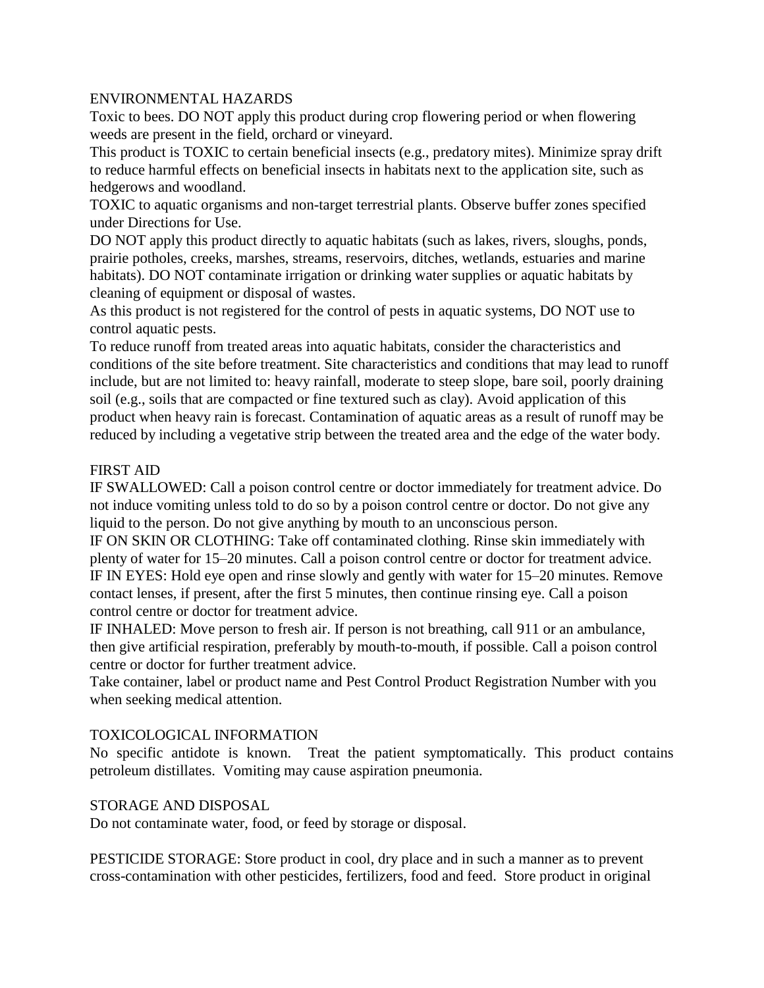### ENVIRONMENTAL HAZARDS

Toxic to bees. DO NOT apply this product during crop flowering period or when flowering weeds are present in the field, orchard or vineyard.

This product is TOXIC to certain beneficial insects (e.g., predatory mites). Minimize spray drift to reduce harmful effects on beneficial insects in habitats next to the application site, such as hedgerows and woodland.

TOXIC to aquatic organisms and non-target terrestrial plants. Observe buffer zones specified under Directions for Use.

DO NOT apply this product directly to aquatic habitats (such as lakes, rivers, sloughs, ponds, prairie potholes, creeks, marshes, streams, reservoirs, ditches, wetlands, estuaries and marine habitats). DO NOT contaminate irrigation or drinking water supplies or aquatic habitats by cleaning of equipment or disposal of wastes.

As this product is not registered for the control of pests in aquatic systems, DO NOT use to control aquatic pests.

To reduce runoff from treated areas into aquatic habitats, consider the characteristics and conditions of the site before treatment. Site characteristics and conditions that may lead to runoff include, but are not limited to: heavy rainfall, moderate to steep slope, bare soil, poorly draining soil (e.g., soils that are compacted or fine textured such as clay). Avoid application of this product when heavy rain is forecast. Contamination of aquatic areas as a result of runoff may be reduced by including a vegetative strip between the treated area and the edge of the water body.

#### FIRST AID

IF SWALLOWED: Call a poison control centre or doctor immediately for treatment advice. Do not induce vomiting unless told to do so by a poison control centre or doctor. Do not give any liquid to the person. Do not give anything by mouth to an unconscious person.

IF ON SKIN OR CLOTHING: Take off contaminated clothing. Rinse skin immediately with plenty of water for 15–20 minutes. Call a poison control centre or doctor for treatment advice. IF IN EYES: Hold eye open and rinse slowly and gently with water for 15–20 minutes. Remove contact lenses, if present, after the first 5 minutes, then continue rinsing eye. Call a poison control centre or doctor for treatment advice.

IF INHALED: Move person to fresh air. If person is not breathing, call 911 or an ambulance, then give artificial respiration, preferably by mouth-to-mouth, if possible. Call a poison control centre or doctor for further treatment advice.

Take container, label or product name and Pest Control Product Registration Number with you when seeking medical attention.

#### TOXICOLOGICAL INFORMATION

No specific antidote is known. Treat the patient symptomatically. This product contains petroleum distillates. Vomiting may cause aspiration pneumonia.

#### STORAGE AND DISPOSAL

Do not contaminate water, food, or feed by storage or disposal.

PESTICIDE STORAGE: Store product in cool, dry place and in such a manner as to prevent cross-contamination with other pesticides, fertilizers, food and feed. Store product in original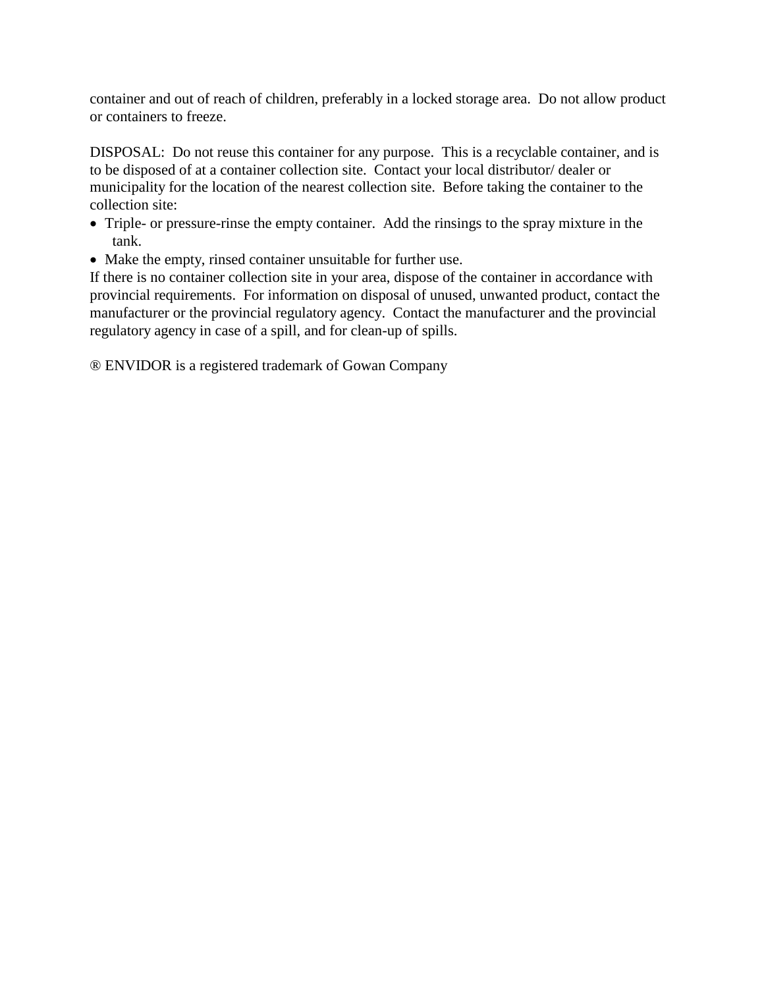container and out of reach of children, preferably in a locked storage area. Do not allow product or containers to freeze.

DISPOSAL: Do not reuse this container for any purpose. This is a recyclable container, and is to be disposed of at a container collection site. Contact your local distributor/ dealer or municipality for the location of the nearest collection site. Before taking the container to the collection site:

- Triple- or pressure-rinse the empty container. Add the rinsings to the spray mixture in the tank.
- Make the empty, rinsed container unsuitable for further use.

If there is no container collection site in your area, dispose of the container in accordance with provincial requirements. For information on disposal of unused, unwanted product, contact the manufacturer or the provincial regulatory agency. Contact the manufacturer and the provincial regulatory agency in case of a spill, and for clean-up of spills.

® ENVIDOR is a registered trademark of Gowan Company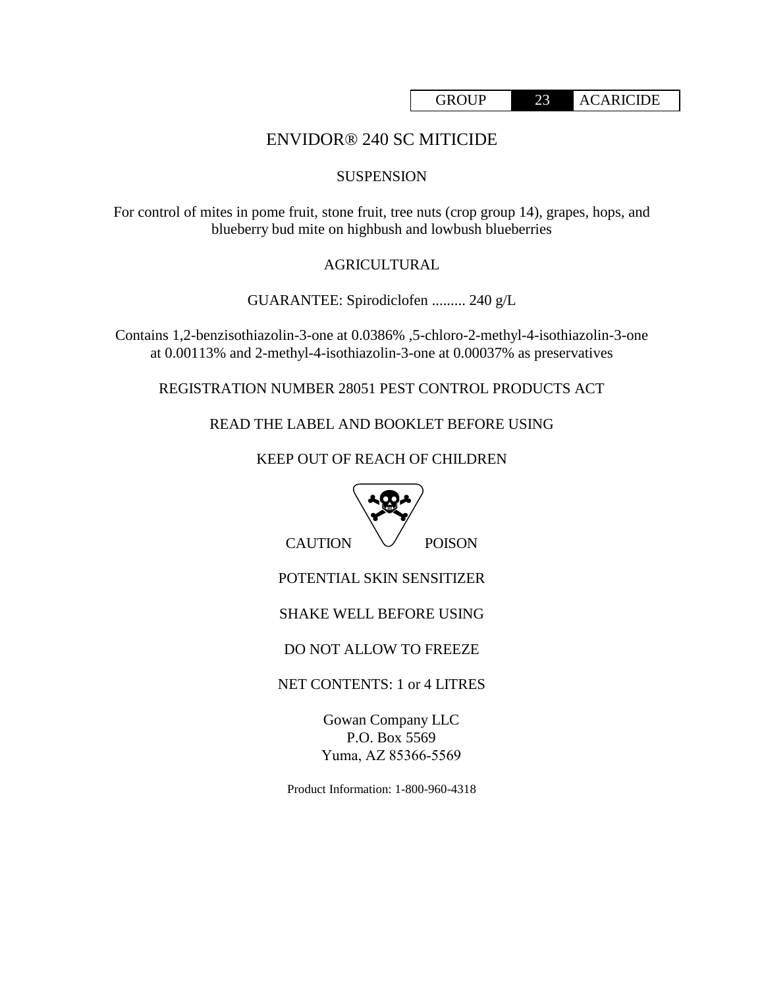# ENVIDOR® 240 SC MITICIDE

### SUSPENSION

For control of mites in pome fruit, stone fruit, tree nuts (crop group 14), grapes, hops, and blueberry bud mite on highbush and lowbush blueberries

## AGRICULTURAL

GUARANTEE: Spirodiclofen ......... 240 g/L

Contains 1,2-benzisothiazolin-3-one at 0.0386% ,5-chloro-2-methyl-4-isothiazolin-3-one at 0.00113% and 2-methyl-4-isothiazolin-3-one at 0.00037% as preservatives

REGISTRATION NUMBER 28051 PEST CONTROL PRODUCTS ACT

READ THE LABEL AND BOOKLET BEFORE USING

KEEP OUT OF REACH OF CHILDREN



 $CAUTION \quad \bigvee \quad POISON$ 

POTENTIAL SKIN SENSITIZER

SHAKE WELL BEFORE USING

DO NOT ALLOW TO FREEZE

NET CONTENTS: 1 or 4 LITRES

Gowan Company LLC P.O. Box 5569 Yuma, AZ 85366‐5569

Product Information: 1-800-960-4318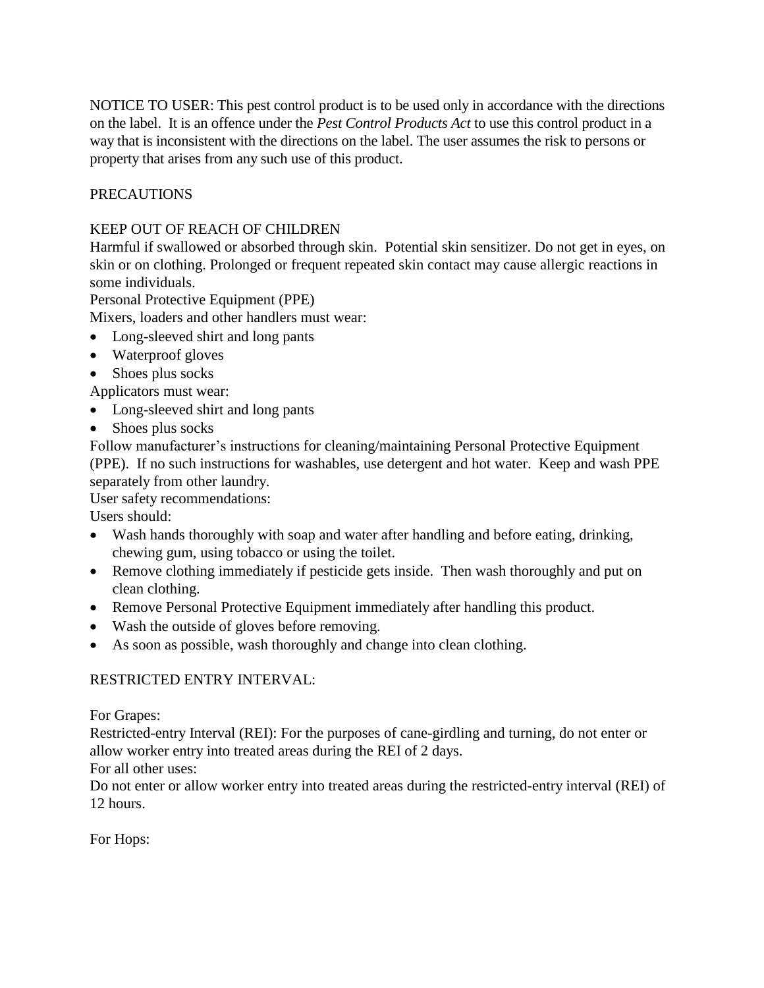NOTICE TO USER: This pest control product is to be used only in accordance with the directions on the label. It is an offence under the *Pest Control Products Act* to use this control product in a way that is inconsistent with the directions on the label. The user assumes the risk to persons or property that arises from any such use of this product.

# PRECAUTIONS

## KEEP OUT OF REACH OF CHILDREN

Harmful if swallowed or absorbed through skin. Potential skin sensitizer. Do not get in eyes, on skin or on clothing. Prolonged or frequent repeated skin contact may cause allergic reactions in some individuals.

Personal Protective Equipment (PPE)

Mixers, loaders and other handlers must wear:

- Long-sleeved shirt and long pants
- Waterproof gloves
- Shoes plus socks

Applicators must wear:

- Long-sleeved shirt and long pants
- Shoes plus socks

Follow manufacturer's instructions for cleaning/maintaining Personal Protective Equipment (PPE). If no such instructions for washables, use detergent and hot water. Keep and wash PPE separately from other laundry.

User safety recommendations:

Users should:

- Wash hands thoroughly with soap and water after handling and before eating, drinking, chewing gum, using tobacco or using the toilet.
- Remove clothing immediately if pesticide gets inside. Then wash thoroughly and put on clean clothing.
- Remove Personal Protective Equipment immediately after handling this product.
- Wash the outside of gloves before removing.
- As soon as possible, wash thoroughly and change into clean clothing.

## RESTRICTED ENTRY INTERVAL:

For Grapes:

Restricted-entry Interval (REI): For the purposes of cane-girdling and turning, do not enter or allow worker entry into treated areas during the REI of 2 days.

For all other uses:

Do not enter or allow worker entry into treated areas during the restricted-entry interval (REI) of 12 hours.

For Hops: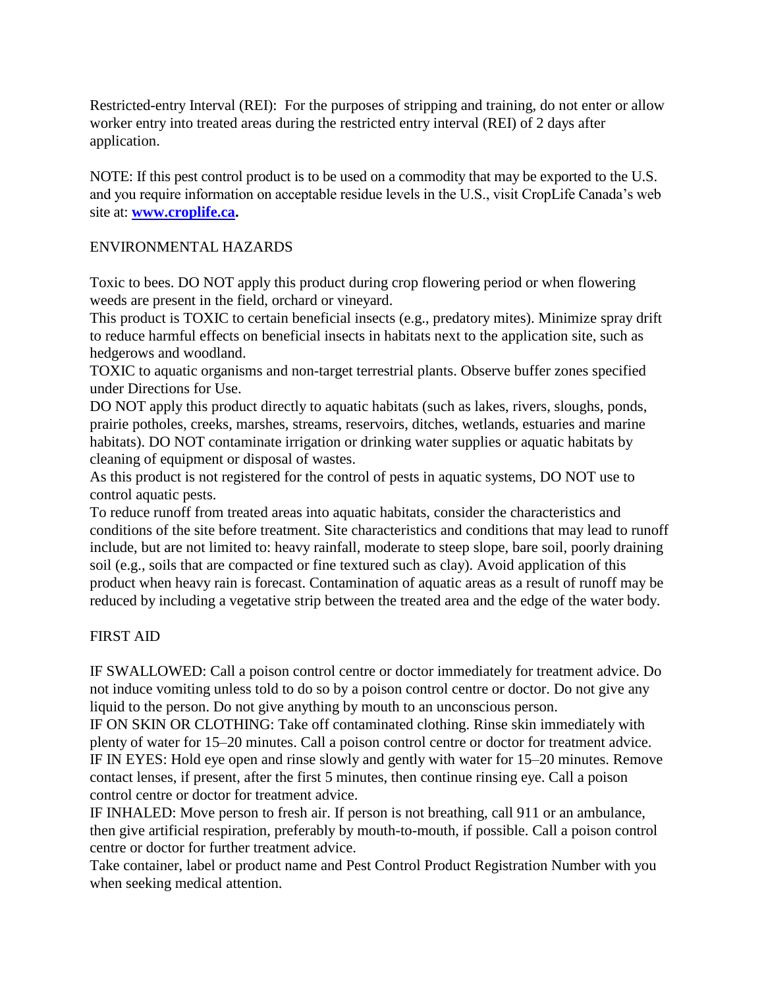Restricted-entry Interval (REI): For the purposes of stripping and training, do not enter or allow worker entry into treated areas during the restricted entry interval (REI) of 2 days after application.

NOTE: If this pest control product is to be used on a commodity that may be exported to the U.S. and you require information on acceptable residue levels in the U.S., visit CropLife Canada's web site at: **[www.croplife.ca.](http://www.croplife.ca/)**

#### ENVIRONMENTAL HAZARDS

Toxic to bees. DO NOT apply this product during crop flowering period or when flowering weeds are present in the field, orchard or vineyard.

This product is TOXIC to certain beneficial insects (e.g., predatory mites). Minimize spray drift to reduce harmful effects on beneficial insects in habitats next to the application site, such as hedgerows and woodland.

TOXIC to aquatic organisms and non-target terrestrial plants. Observe buffer zones specified under Directions for Use.

DO NOT apply this product directly to aquatic habitats (such as lakes, rivers, sloughs, ponds, prairie potholes, creeks, marshes, streams, reservoirs, ditches, wetlands, estuaries and marine habitats). DO NOT contaminate irrigation or drinking water supplies or aquatic habitats by cleaning of equipment or disposal of wastes.

As this product is not registered for the control of pests in aquatic systems, DO NOT use to control aquatic pests.

To reduce runoff from treated areas into aquatic habitats, consider the characteristics and conditions of the site before treatment. Site characteristics and conditions that may lead to runoff include, but are not limited to: heavy rainfall, moderate to steep slope, bare soil, poorly draining soil (e.g., soils that are compacted or fine textured such as clay). Avoid application of this product when heavy rain is forecast. Contamination of aquatic areas as a result of runoff may be reduced by including a vegetative strip between the treated area and the edge of the water body.

## FIRST AID

IF SWALLOWED: Call a poison control centre or doctor immediately for treatment advice. Do not induce vomiting unless told to do so by a poison control centre or doctor. Do not give any liquid to the person. Do not give anything by mouth to an unconscious person.

IF ON SKIN OR CLOTHING: Take off contaminated clothing. Rinse skin immediately with plenty of water for 15–20 minutes. Call a poison control centre or doctor for treatment advice. IF IN EYES: Hold eye open and rinse slowly and gently with water for 15–20 minutes. Remove contact lenses, if present, after the first 5 minutes, then continue rinsing eye. Call a poison control centre or doctor for treatment advice.

IF INHALED: Move person to fresh air. If person is not breathing, call 911 or an ambulance, then give artificial respiration, preferably by mouth-to-mouth, if possible. Call a poison control centre or doctor for further treatment advice.

Take container, label or product name and Pest Control Product Registration Number with you when seeking medical attention.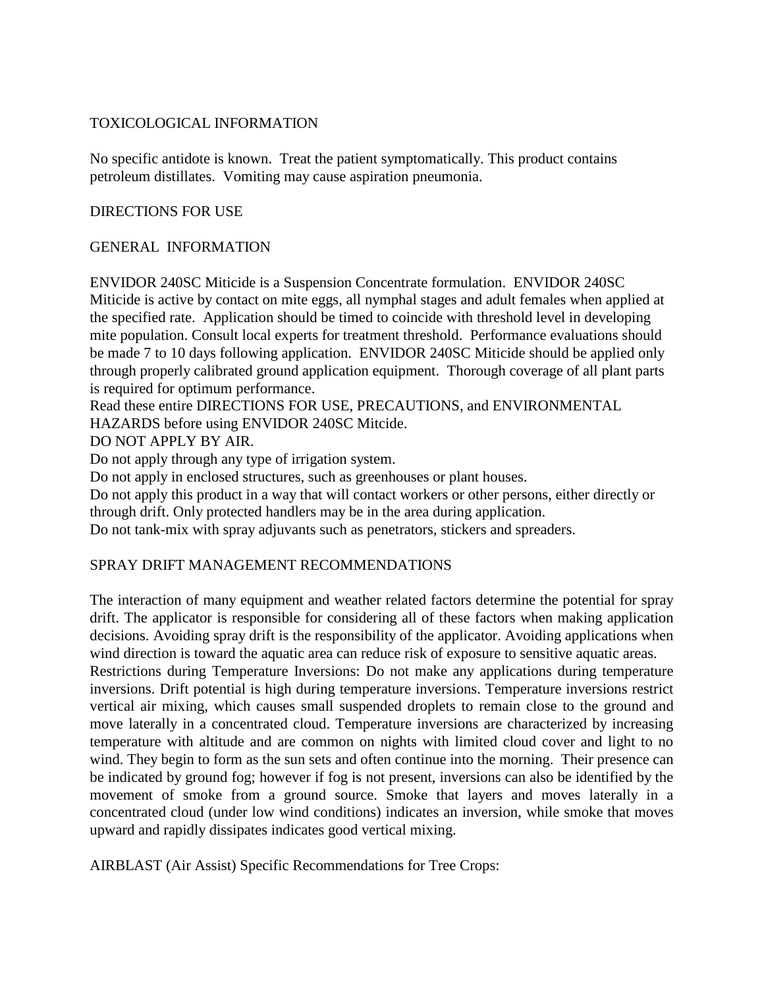### TOXICOLOGICAL INFORMATION

No specific antidote is known. Treat the patient symptomatically. This product contains petroleum distillates. Vomiting may cause aspiration pneumonia.

#### DIRECTIONS FOR USE

#### GENERAL INFORMATION

ENVIDOR 240SC Miticide is a Suspension Concentrate formulation. ENVIDOR 240SC Miticide is active by contact on mite eggs, all nymphal stages and adult females when applied at the specified rate. Application should be timed to coincide with threshold level in developing mite population. Consult local experts for treatment threshold. Performance evaluations should be made 7 to 10 days following application. ENVIDOR 240SC Miticide should be applied only through properly calibrated ground application equipment. Thorough coverage of all plant parts is required for optimum performance.

Read these entire DIRECTIONS FOR USE, PRECAUTIONS, and ENVIRONMENTAL

HAZARDS before using ENVIDOR 240SC Mitcide.

DO NOT APPLY BY AIR.

Do not apply through any type of irrigation system.

Do not apply in enclosed structures, such as greenhouses or plant houses.

Do not apply this product in a way that will contact workers or other persons, either directly or through drift. Only protected handlers may be in the area during application.

Do not tank-mix with spray adjuvants such as penetrators, stickers and spreaders.

#### SPRAY DRIFT MANAGEMENT RECOMMENDATIONS

The interaction of many equipment and weather related factors determine the potential for spray drift. The applicator is responsible for considering all of these factors when making application decisions. Avoiding spray drift is the responsibility of the applicator. Avoiding applications when wind direction is toward the aquatic area can reduce risk of exposure to sensitive aquatic areas.

Restrictions during Temperature Inversions: Do not make any applications during temperature inversions. Drift potential is high during temperature inversions. Temperature inversions restrict vertical air mixing, which causes small suspended droplets to remain close to the ground and move laterally in a concentrated cloud. Temperature inversions are characterized by increasing temperature with altitude and are common on nights with limited cloud cover and light to no wind. They begin to form as the sun sets and often continue into the morning. Their presence can be indicated by ground fog; however if fog is not present, inversions can also be identified by the movement of smoke from a ground source. Smoke that layers and moves laterally in a concentrated cloud (under low wind conditions) indicates an inversion, while smoke that moves upward and rapidly dissipates indicates good vertical mixing.

AIRBLAST (Air Assist) Specific Recommendations for Tree Crops: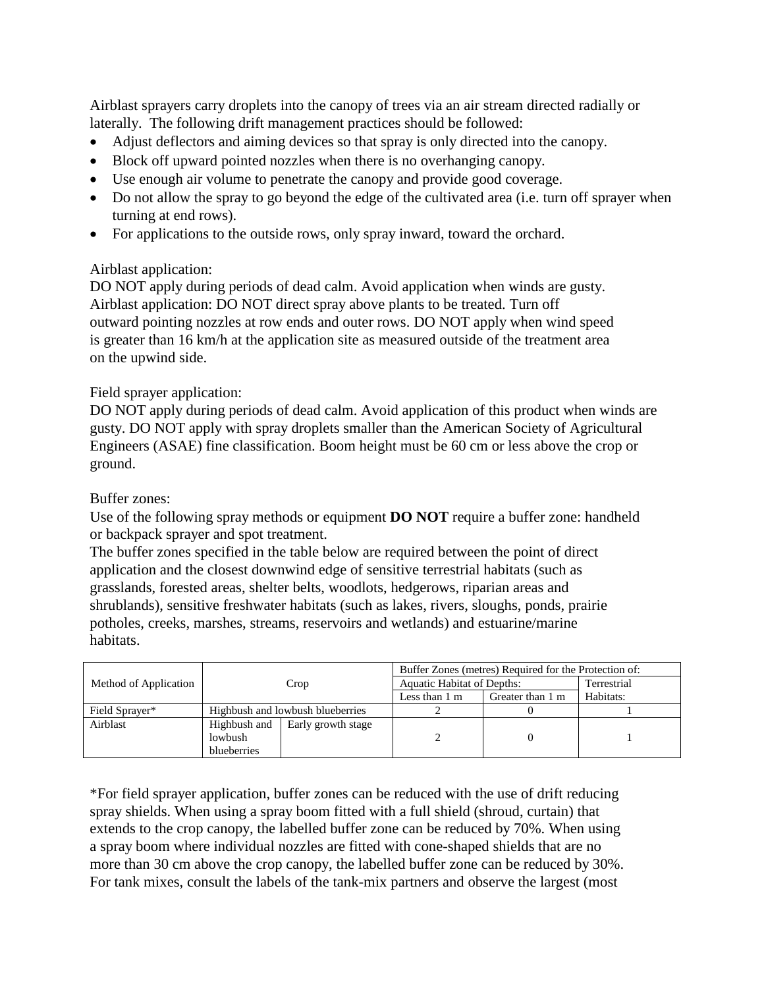Airblast sprayers carry droplets into the canopy of trees via an air stream directed radially or laterally. The following drift management practices should be followed:

- Adjust deflectors and aiming devices so that spray is only directed into the canopy.
- Block off upward pointed nozzles when there is no overhanging canopy.
- Use enough air volume to penetrate the canopy and provide good coverage.
- Do not allow the spray to go beyond the edge of the cultivated area (i.e. turn off sprayer when turning at end rows).
- For applications to the outside rows, only spray inward, toward the orchard.

## Airblast application:

DO NOT apply during periods of dead calm. Avoid application when winds are gusty. Airblast application: DO NOT direct spray above plants to be treated. Turn off outward pointing nozzles at row ends and outer rows. DO NOT apply when wind speed is greater than 16 km/h at the application site as measured outside of the treatment area on the upwind side.

# Field sprayer application:

DO NOT apply during periods of dead calm. Avoid application of this product when winds are gusty. DO NOT apply with spray droplets smaller than the American Society of Agricultural Engineers (ASAE) fine classification. Boom height must be 60 cm or less above the crop or ground.

## Buffer zones:

Use of the following spray methods or equipment **DO NOT** require a buffer zone: handheld or backpack sprayer and spot treatment.

The buffer zones specified in the table below are required between the point of direct application and the closest downwind edge of sensitive terrestrial habitats (such as grasslands, forested areas, shelter belts, woodlots, hedgerows, riparian areas and shrublands), sensitive freshwater habitats (such as lakes, rivers, sloughs, ponds, prairie potholes, creeks, marshes, streams, reservoirs and wetlands) and estuarine/marine habitats.

|                       | Crop                             |                    | Buffer Zones (metres) Required for the Protection of: |                  |             |
|-----------------------|----------------------------------|--------------------|-------------------------------------------------------|------------------|-------------|
| Method of Application |                                  |                    | <b>Aquatic Habitat of Depths:</b>                     |                  | Terrestrial |
|                       |                                  |                    | Less than $1 \text{ m}$                               | Greater than 1 m | Habitats:   |
| Field Sprayer*        | Highbush and lowbush blueberries |                    |                                                       |                  |             |
| Airblast              | Highbush and                     | Early growth stage |                                                       |                  |             |
|                       | lowbush                          |                    |                                                       |                  |             |
|                       | blueberries                      |                    |                                                       |                  |             |

\*For field sprayer application, buffer zones can be reduced with the use of drift reducing spray shields. When using a spray boom fitted with a full shield (shroud, curtain) that extends to the crop canopy, the labelled buffer zone can be reduced by 70%. When using a spray boom where individual nozzles are fitted with cone-shaped shields that are no more than 30 cm above the crop canopy, the labelled buffer zone can be reduced by 30%. For tank mixes, consult the labels of the tank-mix partners and observe the largest (most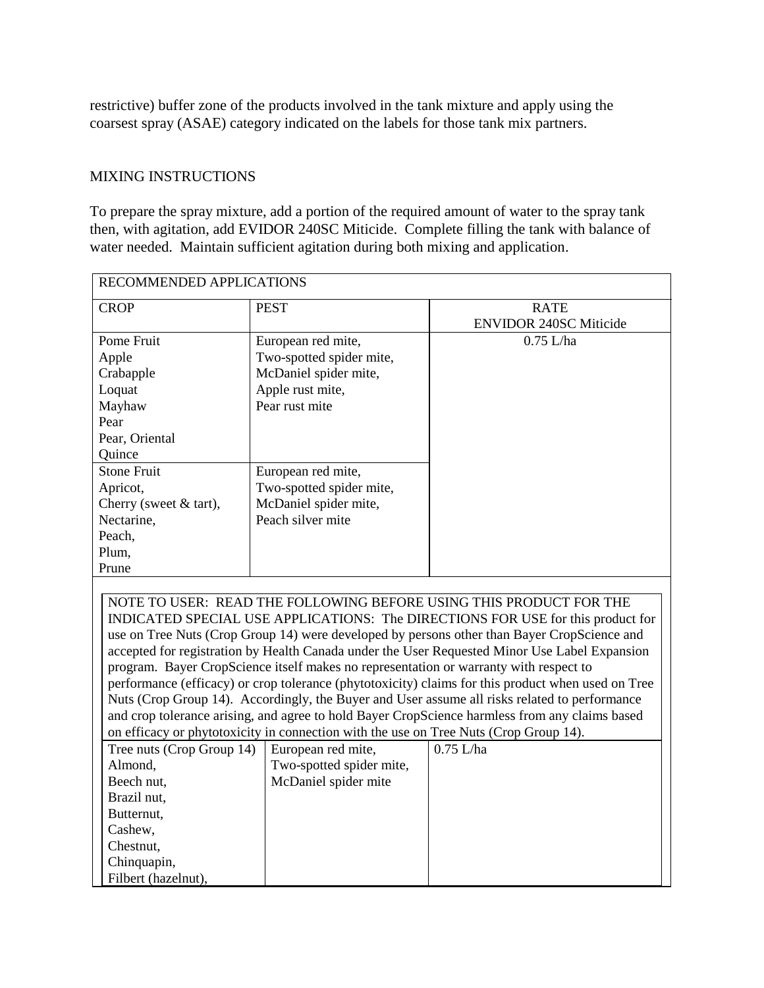restrictive) buffer zone of the products involved in the tank mixture and apply using the coarsest spray (ASAE) category indicated on the labels for those tank mix partners.

#### MIXING INSTRUCTIONS

To prepare the spray mixture, add a portion of the required amount of water to the spray tank then, with agitation, add EVIDOR 240SC Miticide. Complete filling the tank with balance of water needed. Maintain sufficient agitation during both mixing and application.

| RECOMMENDED APPLICATIONS                                                                       |                                                                                       |                                                                                                    |  |  |  |
|------------------------------------------------------------------------------------------------|---------------------------------------------------------------------------------------|----------------------------------------------------------------------------------------------------|--|--|--|
| <b>CROP</b>                                                                                    | <b>PEST</b>                                                                           | <b>RATE</b>                                                                                        |  |  |  |
|                                                                                                |                                                                                       | <b>ENVIDOR 240SC Miticide</b>                                                                      |  |  |  |
| Pome Fruit                                                                                     | European red mite,                                                                    | $0.75$ L/ha                                                                                        |  |  |  |
| Apple                                                                                          | Two-spotted spider mite,                                                              |                                                                                                    |  |  |  |
| Crabapple                                                                                      | McDaniel spider mite,                                                                 |                                                                                                    |  |  |  |
| Loquat                                                                                         | Apple rust mite,                                                                      |                                                                                                    |  |  |  |
| Mayhaw                                                                                         | Pear rust mite                                                                        |                                                                                                    |  |  |  |
| Pear                                                                                           |                                                                                       |                                                                                                    |  |  |  |
| Pear, Oriental                                                                                 |                                                                                       |                                                                                                    |  |  |  |
| Quince                                                                                         |                                                                                       |                                                                                                    |  |  |  |
| <b>Stone Fruit</b>                                                                             | European red mite,                                                                    |                                                                                                    |  |  |  |
| Apricot,                                                                                       | Two-spotted spider mite,                                                              |                                                                                                    |  |  |  |
| Cherry (sweet $&$ tart),                                                                       | McDaniel spider mite,                                                                 |                                                                                                    |  |  |  |
| Nectarine,                                                                                     | Peach silver mite                                                                     |                                                                                                    |  |  |  |
| Peach,                                                                                         |                                                                                       |                                                                                                    |  |  |  |
| Plum,                                                                                          |                                                                                       |                                                                                                    |  |  |  |
| Prune                                                                                          |                                                                                       |                                                                                                    |  |  |  |
|                                                                                                |                                                                                       |                                                                                                    |  |  |  |
|                                                                                                |                                                                                       | NOTE TO USER: READ THE FOLLOWING BEFORE USING THIS PRODUCT FOR THE                                 |  |  |  |
|                                                                                                |                                                                                       | INDICATED SPECIAL USE APPLICATIONS: The DIRECTIONS FOR USE for this product for                    |  |  |  |
| use on Tree Nuts (Crop Group 14) were developed by persons other than Bayer CropScience and    |                                                                                       |                                                                                                    |  |  |  |
|                                                                                                |                                                                                       | accepted for registration by Health Canada under the User Requested Minor Use Label Expansion      |  |  |  |
|                                                                                                | program. Bayer CropScience itself makes no representation or warranty with respect to |                                                                                                    |  |  |  |
|                                                                                                |                                                                                       | performance (efficacy) or crop tolerance (phytotoxicity) claims for this product when used on Tree |  |  |  |
| Nuts (Crop Group 14). Accordingly, the Buyer and User assume all risks related to performance  |                                                                                       |                                                                                                    |  |  |  |
| and crop tolerance arising, and agree to hold Bayer CropScience harmless from any claims based |                                                                                       |                                                                                                    |  |  |  |
| on efficacy or phytotoxicity in connection with the use on Tree Nuts (Crop Group 14).          |                                                                                       |                                                                                                    |  |  |  |
| Tree nuts (Crop Group 14)                                                                      | European red mite,                                                                    | $0.75$ L/ha                                                                                        |  |  |  |
| Almond,                                                                                        | Two-spotted spider mite,                                                              |                                                                                                    |  |  |  |
| Beech nut,                                                                                     | McDaniel spider mite                                                                  |                                                                                                    |  |  |  |
| Brazil nut.                                                                                    |                                                                                       |                                                                                                    |  |  |  |
| Butternut,                                                                                     |                                                                                       |                                                                                                    |  |  |  |
| Cashew,                                                                                        |                                                                                       |                                                                                                    |  |  |  |
| Chestnut,                                                                                      |                                                                                       |                                                                                                    |  |  |  |
| Chinquapin,                                                                                    |                                                                                       |                                                                                                    |  |  |  |
| Filbert (hazelnut),                                                                            |                                                                                       |                                                                                                    |  |  |  |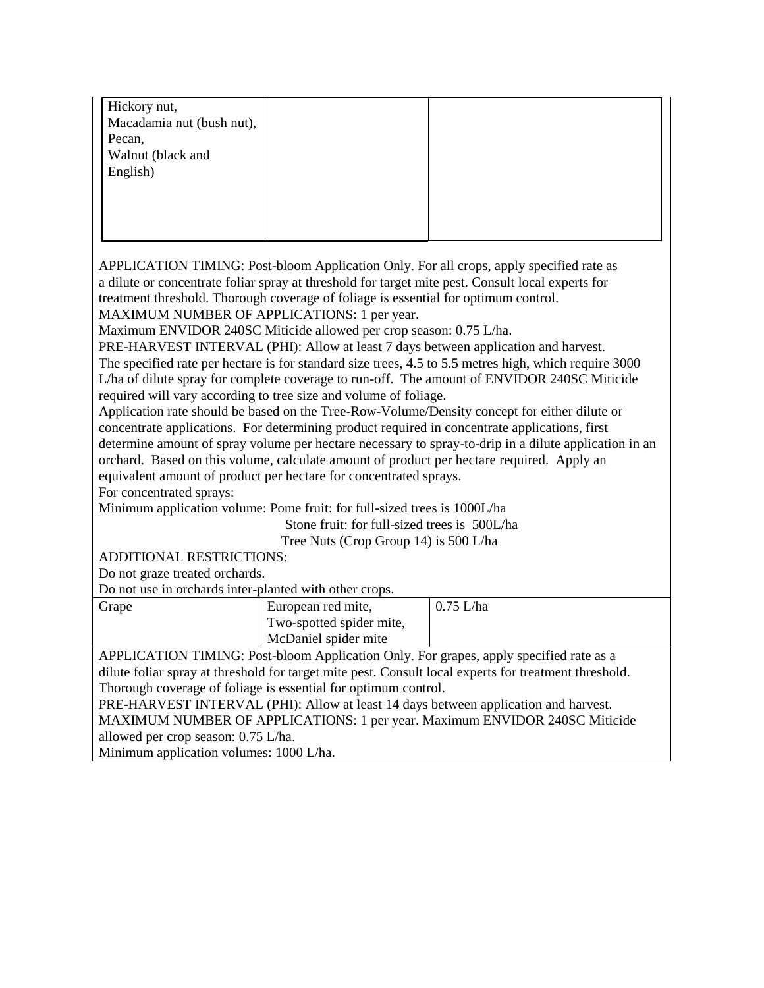| Hickory nut,                                                                                          |                                              |                                                                                                       |  |  |  |
|-------------------------------------------------------------------------------------------------------|----------------------------------------------|-------------------------------------------------------------------------------------------------------|--|--|--|
| Macadamia nut (bush nut),                                                                             |                                              |                                                                                                       |  |  |  |
| Pecan,                                                                                                |                                              |                                                                                                       |  |  |  |
| Walnut (black and                                                                                     |                                              |                                                                                                       |  |  |  |
| English)                                                                                              |                                              |                                                                                                       |  |  |  |
|                                                                                                       |                                              |                                                                                                       |  |  |  |
|                                                                                                       |                                              |                                                                                                       |  |  |  |
|                                                                                                       |                                              |                                                                                                       |  |  |  |
|                                                                                                       |                                              |                                                                                                       |  |  |  |
|                                                                                                       |                                              | APPLICATION TIMING: Post-bloom Application Only. For all crops, apply specified rate as               |  |  |  |
|                                                                                                       |                                              | a dilute or concentrate foliar spray at threshold for target mite pest. Consult local experts for     |  |  |  |
| treatment threshold. Thorough coverage of foliage is essential for optimum control.                   |                                              |                                                                                                       |  |  |  |
| MAXIMUM NUMBER OF APPLICATIONS: 1 per year.                                                           |                                              |                                                                                                       |  |  |  |
| Maximum ENVIDOR 240SC Miticide allowed per crop season: 0.75 L/ha.                                    |                                              |                                                                                                       |  |  |  |
|                                                                                                       |                                              | PRE-HARVEST INTERVAL (PHI): Allow at least 7 days between application and harvest.                    |  |  |  |
|                                                                                                       |                                              | The specified rate per hectare is for standard size trees, 4.5 to 5.5 metres high, which require 3000 |  |  |  |
|                                                                                                       |                                              | L/ha of dilute spray for complete coverage to run-off. The amount of ENVIDOR 240SC Miticide           |  |  |  |
| required will vary according to tree size and volume of foliage.                                      |                                              |                                                                                                       |  |  |  |
|                                                                                                       |                                              | Application rate should be based on the Tree-Row-Volume/Density concept for either dilute or          |  |  |  |
|                                                                                                       |                                              | concentrate applications. For determining product required in concentrate applications, first         |  |  |  |
|                                                                                                       |                                              | determine amount of spray volume per hectare necessary to spray-to-drip in a dilute application in an |  |  |  |
|                                                                                                       |                                              | orchard. Based on this volume, calculate amount of product per hectare required. Apply an             |  |  |  |
| equivalent amount of product per hectare for concentrated sprays.                                     |                                              |                                                                                                       |  |  |  |
| For concentrated sprays:                                                                              |                                              |                                                                                                       |  |  |  |
| Minimum application volume: Pome fruit: for full-sized trees is 1000L/ha                              |                                              |                                                                                                       |  |  |  |
|                                                                                                       | Stone fruit: for full-sized trees is 500L/ha |                                                                                                       |  |  |  |
|                                                                                                       | Tree Nuts (Crop Group 14) is 500 L/ha        |                                                                                                       |  |  |  |
| ADDITIONAL RESTRICTIONS:                                                                              |                                              |                                                                                                       |  |  |  |
| Do not graze treated orchards.                                                                        |                                              |                                                                                                       |  |  |  |
| Do not use in orchards inter-planted with other crops.                                                |                                              |                                                                                                       |  |  |  |
| Grape                                                                                                 | European red mite,                           | $0.75$ L/ha                                                                                           |  |  |  |
|                                                                                                       | Two-spotted spider mite,                     |                                                                                                       |  |  |  |
|                                                                                                       | McDaniel spider mite                         |                                                                                                       |  |  |  |
| APPLICATION TIMING: Post-bloom Application Only. For grapes, apply specified rate as a                |                                              |                                                                                                       |  |  |  |
| dilute foliar spray at threshold for target mite pest. Consult local experts for treatment threshold. |                                              |                                                                                                       |  |  |  |
| Thorough coverage of foliage is essential for optimum control.                                        |                                              |                                                                                                       |  |  |  |
| PRE-HARVEST INTERVAL (PHI): Allow at least 14 days between application and harvest.                   |                                              |                                                                                                       |  |  |  |
| MAXIMUM NUMBER OF APPLICATIONS: 1 per year. Maximum ENVIDOR 240SC Miticide                            |                                              |                                                                                                       |  |  |  |
| allowed per crop season: 0.75 L/ha.                                                                   |                                              |                                                                                                       |  |  |  |
| Minimum application volumes: 1000 L/ha.                                                               |                                              |                                                                                                       |  |  |  |
|                                                                                                       |                                              |                                                                                                       |  |  |  |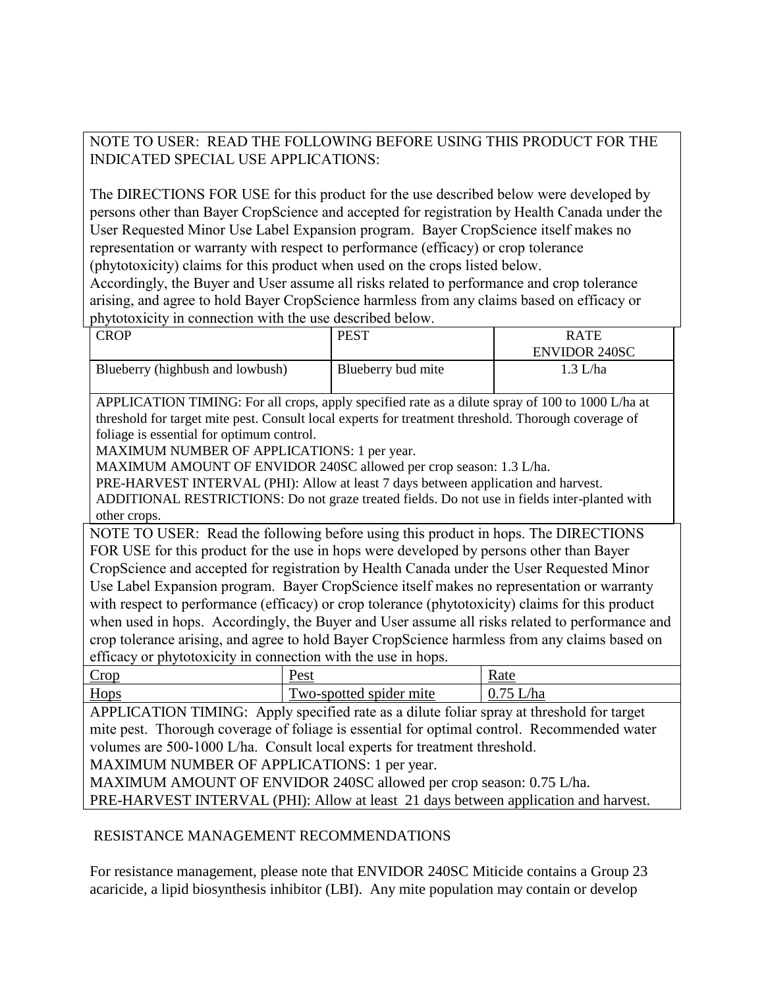# NOTE TO USER: READ THE FOLLOWING BEFORE USING THIS PRODUCT FOR THE INDICATED SPECIAL USE APPLICATIONS:

The DIRECTIONS FOR USE for this product for the use described below were developed by persons other than Bayer CropScience and accepted for registration by Health Canada under the User Requested Minor Use Label Expansion program. Bayer CropScience itself makes no representation or warranty with respect to performance (efficacy) or crop tolerance (phytotoxicity) claims for this product when used on the crops listed below.

Accordingly, the Buyer and User assume all risks related to performance and crop tolerance arising, and agree to hold Bayer CropScience harmless from any claims based on efficacy or phytotoxicity in connection with the use described below.

| <b>CROP</b>                                                                                                                                                                         | <b>PEST</b>                                                                                      | <b>RATE</b>          |  |  |  |  |
|-------------------------------------------------------------------------------------------------------------------------------------------------------------------------------------|--------------------------------------------------------------------------------------------------|----------------------|--|--|--|--|
|                                                                                                                                                                                     |                                                                                                  | <b>ENVIDOR 240SC</b> |  |  |  |  |
| Blueberry (highbush and lowbush)                                                                                                                                                    | Blueberry bud mite                                                                               | $1.3$ L/ha           |  |  |  |  |
|                                                                                                                                                                                     |                                                                                                  |                      |  |  |  |  |
|                                                                                                                                                                                     | APPLICATION TIMING: For all crops, apply specified rate as a dilute spray of 100 to 1000 L/ha at |                      |  |  |  |  |
| threshold for target mite pest. Consult local experts for treatment threshold. Thorough coverage of                                                                                 |                                                                                                  |                      |  |  |  |  |
| foliage is essential for optimum control.                                                                                                                                           |                                                                                                  |                      |  |  |  |  |
| MAXIMUM NUMBER OF APPLICATIONS: 1 per year.<br>MAXIMUM AMOUNT OF ENVIDOR 240SC allowed per crop season: 1.3 L/ha.                                                                   |                                                                                                  |                      |  |  |  |  |
|                                                                                                                                                                                     |                                                                                                  |                      |  |  |  |  |
| PRE-HARVEST INTERVAL (PHI): Allow at least 7 days between application and harvest.<br>ADDITIONAL RESTRICTIONS: Do not graze treated fields. Do not use in fields inter-planted with |                                                                                                  |                      |  |  |  |  |
| other crops.                                                                                                                                                                        |                                                                                                  |                      |  |  |  |  |
| NOTE TO USER: Read the following before using this product in hops. The DIRECTIONS                                                                                                  |                                                                                                  |                      |  |  |  |  |
| FOR USE for this product for the use in hops were developed by persons other than Bayer                                                                                             |                                                                                                  |                      |  |  |  |  |
| CropScience and accepted for registration by Health Canada under the User Requested Minor                                                                                           |                                                                                                  |                      |  |  |  |  |
| Use Label Expansion program. Bayer CropScience itself makes no representation or warranty                                                                                           |                                                                                                  |                      |  |  |  |  |
| with respect to performance (efficacy) or crop tolerance (phytotoxicity) claims for this product                                                                                    |                                                                                                  |                      |  |  |  |  |
| when used in hops. Accordingly, the Buyer and User assume all risks related to performance and                                                                                      |                                                                                                  |                      |  |  |  |  |
| crop tolerance arising, and agree to hold Bayer CropScience harmless from any claims based on                                                                                       |                                                                                                  |                      |  |  |  |  |
| efficacy or phytotoxicity in connection with the use in hops.                                                                                                                       |                                                                                                  |                      |  |  |  |  |
| Crop                                                                                                                                                                                | Pest                                                                                             | Rate                 |  |  |  |  |
| Hops                                                                                                                                                                                | Two-spotted spider mite                                                                          | $0.75$ L/ha          |  |  |  |  |
| APPLICATION TIMING: Apply specified rate as a dilute foliar spray at threshold for target                                                                                           |                                                                                                  |                      |  |  |  |  |
| mite pest. Thorough coverage of foliage is essential for optimal control. Recommended water                                                                                         |                                                                                                  |                      |  |  |  |  |
| volumes are 500-1000 L/ha. Consult local experts for treatment threshold.                                                                                                           |                                                                                                  |                      |  |  |  |  |
| MAXIMUM NUMBER OF APPLICATIONS: 1 per year.                                                                                                                                         |                                                                                                  |                      |  |  |  |  |
| MAXIMUM AMOUNT OF ENVIDOR 240SC allowed per crop season: 0.75 L/ha.                                                                                                                 |                                                                                                  |                      |  |  |  |  |
| PRE-HARVEST INTERVAL (PHI): Allow at least 21 days between application and harvest.                                                                                                 |                                                                                                  |                      |  |  |  |  |

# RESISTANCE MANAGEMENT RECOMMENDATIONS

For resistance management, please note that ENVIDOR 240SC Miticide contains a Group 23 acaricide, a lipid biosynthesis inhibitor (LBI). Any mite population may contain or develop